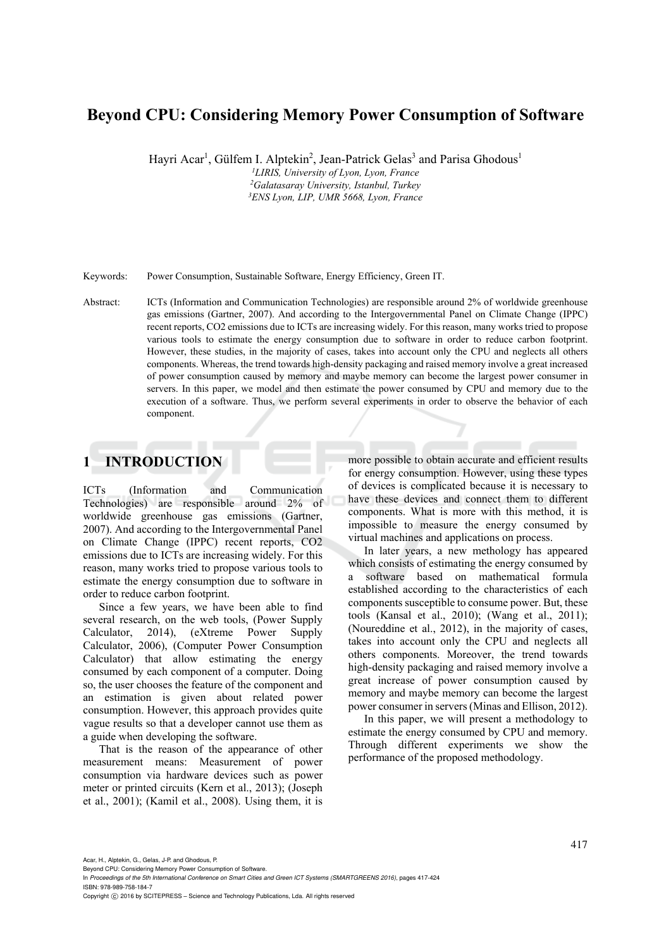# **Beyond CPU: Considering Memory Power Consumption of Software**

Hayri Acar<sup>1</sup>, Gülfem I. Alptekin<sup>2</sup>, Jean-Patrick Gelas<sup>3</sup> and Parisa Ghodous<sup>1</sup>

*1 LIRIS, University of Lyon, Lyon, France 2 Galatasaray University, Istanbul, Turkey 3 ENS Lyon, LIP, UMR 5668, Lyon, France* 

Keywords: Power Consumption, Sustainable Software, Energy Efficiency, Green IT.

Abstract: ICTs (Information and Communication Technologies) are responsible around 2% of worldwide greenhouse gas emissions (Gartner, 2007). And according to the Intergovernmental Panel on Climate Change (IPPC) recent reports, CO2 emissions due to ICTs are increasing widely. For this reason, many works tried to propose various tools to estimate the energy consumption due to software in order to reduce carbon footprint. However, these studies, in the majority of cases, takes into account only the CPU and neglects all others components. Whereas, the trend towards high-density packaging and raised memory involve a great increased of power consumption caused by memory and maybe memory can become the largest power consumer in servers. In this paper, we model and then estimate the power consumed by CPU and memory due to the execution of a software. Thus, we perform several experiments in order to observe the behavior of each component.

# **1 INTRODUCTION**

ICTs (Information and Communication Technologies) are responsible around 2% of worldwide greenhouse gas emissions (Gartner, 2007). And according to the Intergovernmental Panel on Climate Change (IPPC) recent reports, CO2 emissions due to ICTs are increasing widely. For this reason, many works tried to propose various tools to estimate the energy consumption due to software in order to reduce carbon footprint.

Since a few years, we have been able to find several research, on the web tools, (Power Supply Calculator, 2014), (eXtreme Power Supply Calculator, 2006), (Computer Power Consumption Calculator) that allow estimating the energy consumed by each component of a computer. Doing so, the user chooses the feature of the component and an estimation is given about related power consumption. However, this approach provides quite vague results so that a developer cannot use them as a guide when developing the software.

That is the reason of the appearance of other measurement means: Measurement of power consumption via hardware devices such as power meter or printed circuits (Kern et al., 2013); (Joseph et al., 2001); (Kamil et al., 2008). Using them, it is more possible to obtain accurate and efficient results for energy consumption. However, using these types of devices is complicated because it is necessary to have these devices and connect them to different components. What is more with this method, it is impossible to measure the energy consumed by virtual machines and applications on process.

In later years, a new methology has appeared which consists of estimating the energy consumed by a software based on mathematical formula established according to the characteristics of each components susceptible to consume power. But, these tools (Kansal et al., 2010); (Wang et al., 2011); (Noureddine et al., 2012), in the majority of cases, takes into account only the CPU and neglects all others components. Moreover, the trend towards high-density packaging and raised memory involve a great increase of power consumption caused by memory and maybe memory can become the largest power consumer in servers (Minas and Ellison, 2012).

In this paper, we will present a methodology to estimate the energy consumed by CPU and memory. Through different experiments we show the performance of the proposed methodology.

Acar, H., Alptekin, G., Gelas, J-P. and Ghodous, P.

Beyond CPU: Considering Memory Power Consumption of Software.

In *Proceedings of the 5th International Conference on Smart Cities and Green ICT Systems (SMARTGREENS 2016)*, pages 417-424 ISBN: 978-989-758-184-7

Copyright C 2016 by SCITEPRESS - Science and Technology Publications, Lda. All rights reserved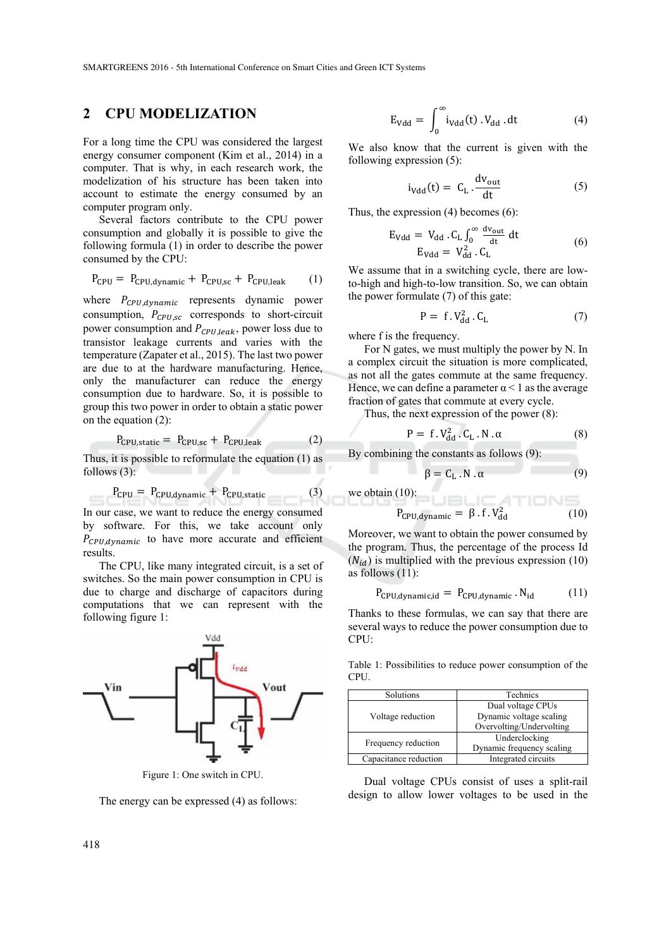## **2 CPU MODELIZATION**

For a long time the CPU was considered the largest energy consumer component (Kim et al., 2014) in a computer. That is why, in each research work, the modelization of his structure has been taken into account to estimate the energy consumed by an computer program only.

Several factors contribute to the CPU power consumption and globally it is possible to give the following formula (1) in order to describe the power consumed by the CPU:

$$
P_{CPU} = P_{CPU, dynamic} + P_{CPU, sc} + P_{CPU, leak} \qquad (1)
$$

where  $P_{CPU, dynamic}$  represents dynamic power consumption,  $P_{\text{cPI}_{\text{SC}}}$  corresponds to short-circuit power consumption and  $P_{CPU, leak}$ , power loss due to transistor leakage currents and varies with the temperature (Zapater et al., 2015). The last two power are due to at the hardware manufacturing. Hence, only the manufacturer can reduce the energy consumption due to hardware. So, it is possible to group this two power in order to obtain a static power on the equation (2):

$$
P_{CPU, static} = P_{CPU, sc} + P_{CPU, leak}
$$
 (2)

Thus, it is possible to reformulate the equation (1) as follows  $(3)$ :

$$
P_{CPU} = P_{CPU,dynamic} + P_{CPU, static}
$$
 (3)

In our case, we want to reduce the energy consumed by software. For this, we take account only  $P_{CPU, dynamic}$  to have more accurate and efficient results.

The CPU, like many integrated circuit, is a set of switches. So the main power consumption in CPU is due to charge and discharge of capacitors during computations that we can represent with the following figure 1:



Figure 1: One switch in CPU.

The energy can be expressed (4) as follows:

$$
E_{Vdd} = \int_0^\infty i_{Vdd}(t) \cdot V_{dd} \cdot dt \tag{4}
$$

We also know that the current is given with the following expression (5):

$$
i_{Vdd}(t) = C_{L} \cdot \frac{dv_{out}}{dt}
$$
 (5)

Thus, the expression (4) becomes (6):

$$
E_{Vdd} = V_{dd} . C_{L} \int_{0}^{\infty} \frac{dv_{out}}{dt} dt
$$
  
\n
$$
E_{Vdd} = V_{dd}^{2} . C_{L}
$$
 (6)

We assume that in a switching cycle, there are lowto-high and high-to-low transition. So, we can obtain the power formulate (7) of this gate:

$$
P = f.V_{dd}^2 . C_L \tag{7}
$$

where f is the frequency.

For N gates, we must multiply the power by N. In a complex circuit the situation is more complicated, as not all the gates commute at the same frequency. Hence, we can define a parameter  $\alpha$  < 1 as the average fraction of gates that commute at every cycle.

Thus, the next expression of the power (8):

$$
P = f.V_{dd}^2.C_L.N.\alpha
$$
 (8)

By combining the constants as follows (9):

$$
\beta = C_{\rm L} \cdot N \cdot \alpha \tag{9}
$$

TIONS

we obtain (10):

$$
P_{\text{CPU,dynamic}} = \beta \cdot f \cdot V_{\text{dd}}^2 \tag{10}
$$

Moreover, we want to obtain the power consumed by the program. Thus, the percentage of the process Id  $(N_{id})$  is multiplied with the previous expression (10) as follows (11):

$$
P_{\text{CPU,dynamic},id} = P_{\text{CPU,dynamic}} \cdot N_{id} \tag{11}
$$

Thanks to these formulas, we can say that there are several ways to reduce the power consumption due to CPU:

Table 1: Possibilities to reduce power consumption of the CPU.

| Solutions             | <b>Technics</b>           |
|-----------------------|---------------------------|
| Voltage reduction     | Dual voltage CPUs         |
|                       | Dynamic voltage scaling   |
|                       | Overvolting/Undervolting  |
| Frequency reduction   | Underclocking             |
|                       | Dynamic frequency scaling |
| Capacitance reduction | Integrated circuits       |

Dual voltage CPUs consist of uses a split-rail design to allow lower voltages to be used in the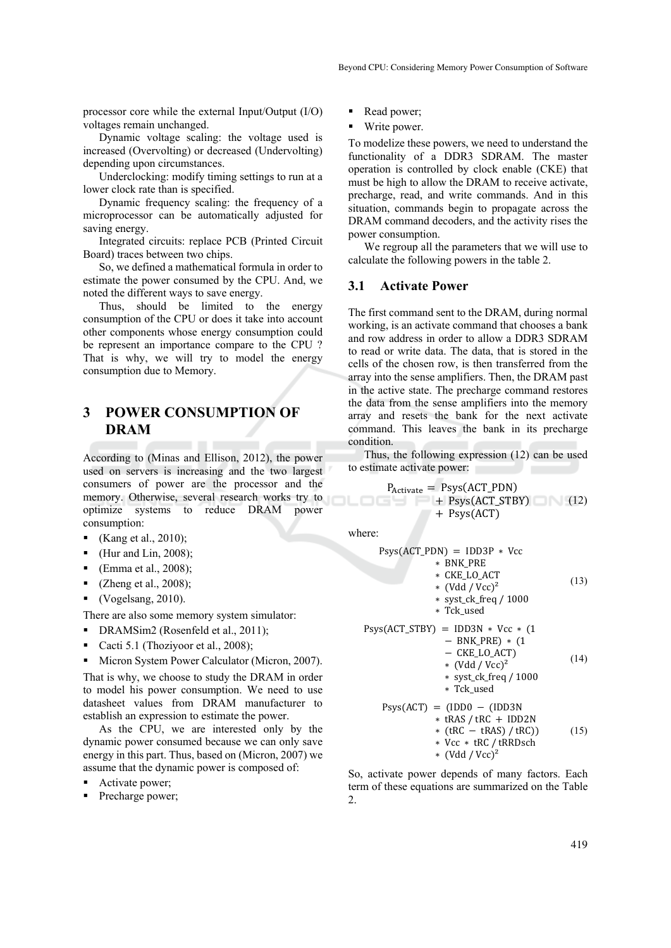processor core while the external Input/Output (I/O) voltages remain unchanged.

Dynamic voltage scaling: the voltage used is increased (Overvolting) or decreased (Undervolting) depending upon circumstances.

Underclocking: modify timing settings to run at a lower clock rate than is specified.

Dynamic frequency scaling: the frequency of a microprocessor can be automatically adjusted for saving energy.

Integrated circuits: replace PCB (Printed Circuit Board) traces between two chips.

So, we defined a mathematical formula in order to estimate the power consumed by the CPU. And, we noted the different ways to save energy.

Thus, should be limited to the energy consumption of the CPU or does it take into account other components whose energy consumption could be represent an importance compare to the CPU ? That is why, we will try to model the energy consumption due to Memory.

# **3 POWER CONSUMPTION OF DRAM**

According to (Minas and Ellison, 2012), the power used on servers is increasing and the two largest consumers of power are the processor and the memory. Otherwise, several research works try to optimize systems to reduce DRAM power consumption:

- Kang et al., 2010);
- (Hur and Lin, 2008);
- (Emma et al., 2008);
- (Zheng et al., 2008);
- $\bullet$  (Vogelsang, 2010).

There are also some memory system simulator:

- DRAMSim2 (Rosenfeld et al., 2011);
- Cacti 5.1 (Thoziyoor et al., 2008);
- Micron System Power Calculator (Micron, 2007).

That is why, we choose to study the DRAM in order to model his power consumption. We need to use datasheet values from DRAM manufacturer to establish an expression to estimate the power.

As the CPU, we are interested only by the dynamic power consumed because we can only save energy in this part. Thus, based on (Micron, 2007) we assume that the dynamic power is composed of:

- Activate power;
- Precharge power;
- Read power;
- Write power.

To modelize these powers, we need to understand the functionality of a DDR3 SDRAM. The master operation is controlled by clock enable (CKE) that must be high to allow the DRAM to receive activate, precharge, read, and write commands. And in this situation, commands begin to propagate across the DRAM command decoders, and the activity rises the power consumption.

We regroup all the parameters that we will use to calculate the following powers in the table 2.

#### **3.1 Activate Power**

The first command sent to the DRAM, during normal working, is an activate command that chooses a bank and row address in order to allow a DDR3 SDRAM to read or write data. The data, that is stored in the cells of the chosen row, is then transferred from the array into the sense amplifiers. Then, the DRAM past in the active state. The precharge command restores the data from the sense amplifiers into the memory array and resets the bank for the next activate command. This leaves the bank in its precharge condition.

Thus, the following expression (12) can be used to estimate activate power:  $\sim$ 

$$
P_{\text{Active}} = \text{Psys}(\text{ACT\_PDN}) + \text{Psys}(\text{ACT\_STBY}) + \text{Psys}(\text{ACT}) \tag{12}
$$

where:

$$
Psys(ACT_PDN) = IDD3P * Vcc
$$
  
\n\* BNK\_PRE  
\n\* CKE\_LO\_ACT  
\n\* (Vdd / Vcc)<sup>2</sup>  
\n\* syst\_c k\_freq / 1000  
\n\* Tck\_used  
\n
$$
Psys(ACT_STBY) = IDD3N * Vcc * (1
$$
  
\n
$$
- BNK_PRE) * (1
$$
  
\n
$$
- CKE_LO_ACT)
$$
  
\n\* (Vdd / Vcc)<sup>2</sup>  
\n\* syst\_c k\_freq / 1000  
\n\* Tck\_used

$$
Psys(ACT) = (IDD0 - (IDD3N\n* tRAS / tRC + IDD2N\n* (tRC - tRAS) / tRC))
$$
\n
$$
+ Vcc * tRC / tRRDsch\n* (Vdd / Vcc)2
$$
\n(15)

So, activate power depends of many factors. Each term of these equations are summarized on the Table 2.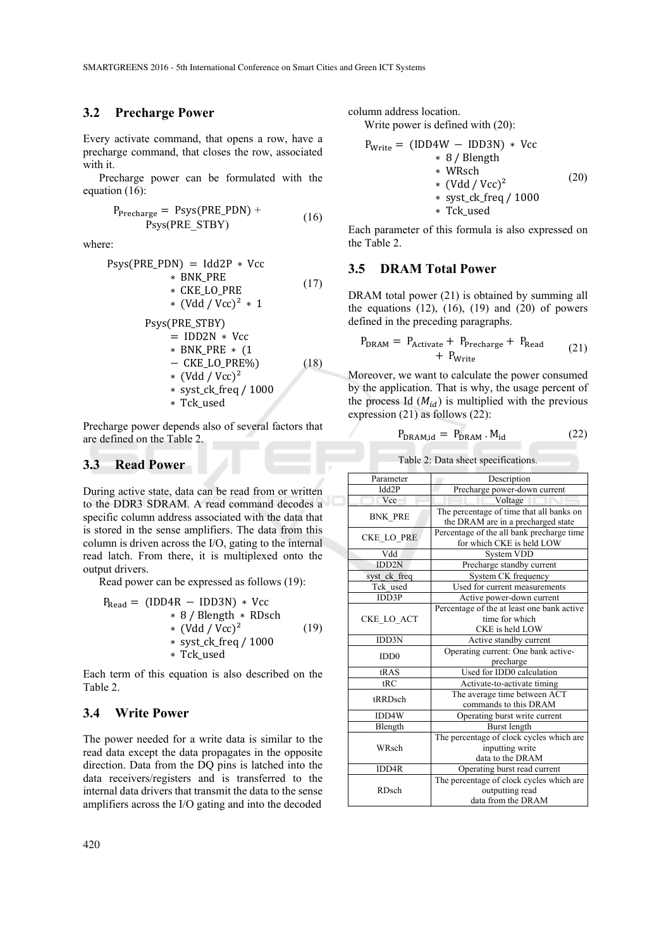### **3.2 Precharge Power**

Every activate command, that opens a row, have a precharge command, that closes the row, associated with it.

Precharge power can be formulated with the equation (16):

$$
P_{\text{Precharge}} = \text{Psys}(\text{PRE\_PDN}) + \text{Psys}(\text{PRE\_STBY}) \tag{16}
$$

where:

$$
Psys(PRE_PDN) = Idd2P * Vcc
$$
  
\n\* BNK\_PRE  
\n\* CKE\_LO\_PRE  
\n\* (Vdd / Vcc)<sup>2</sup> \* 1  
\n
$$
Psys(PRE_STBY)
$$
  
\n= IDD2N \* Vcc  
\n\* BNK\_PRE \* (1  
\n- CKE\_LO\_PRE%) (18)  
\n\* (Vdd / Vcc)<sup>2</sup>  
\n\* syst\_cck\_freq / 1000  
\n\* Tck\_used

Precharge power depends also of several factors that are defined on the Table 2.

### **3.3 Read Power**

During active state, data can be read from or written to the DDR3 SDRAM. A read command decodes a specific column address associated with the data that is stored in the sense amplifiers. The data from this column is driven across the I/O, gating to the internal read latch. From there, it is multiplexed onto the output drivers.

Read power can be expressed as follows (19):

$$
P_{\text{Read}} = (\text{IDD4R} - \text{IDD3N}) * \text{Vcc} \n* 8 / \text{Blength} * \text{RDsch} \n* (\text{Vdd} / \text{Vcc})^2 \n* syst_cck\_freq / 1000 \n* Tck\_used
$$
\n(19)

Each term of this equation is also described on the Table 2.

## **3.4 Write Power**

The power needed for a write data is similar to the read data except the data propagates in the opposite direction. Data from the DQ pins is latched into the data receivers/registers and is transferred to the internal data drivers that transmit the data to the sense amplifiers across the I/O gating and into the decoded

column address location.

Write power is defined with (20):

$$
P_{\text{Write}} = (\text{IDD4W} - \text{IDD3N}) * \text{Vcc} \n* 8 / \text{Blength} \n* WRsch \n* (\text{Vdd} / \text{Vcc})^2 \n* syst_cck\_freq / 1000 \n* Tck used
$$
\n(20)

Each parameter of this formula is also expressed on the Table 2.

### **3.5 DRAM Total Power**

DRAM total power (21) is obtained by summing all the equations  $(12)$ ,  $(16)$ ,  $(19)$  and  $(20)$  of powers defined in the preceding paragraphs.

$$
P_{\text{DRAM}} = P_{\text{Active}} + P_{\text{Precharge}} + P_{\text{Read}} + P_{\text{Write}} \tag{21}
$$

Moreover, we want to calculate the power consumed by the application. That is why, the usage percent of the process Id  $(M_{id})$  is multiplied with the previous expression (21) as follows (22):

$$
P_{\text{DRAM},id} = P_{\text{DRAM}} \cdot M_{id} \tag{22}
$$

| Table 2: Data sheet specifications. |  |
|-------------------------------------|--|
|-------------------------------------|--|

| Parameter         | Description                                                                    |
|-------------------|--------------------------------------------------------------------------------|
| Idd2P             | Precharge power-down current                                                   |
| Vcc               | Voltage                                                                        |
| <b>BNK PRE</b>    | The percentage of time that all banks on<br>the DRAM are in a precharged state |
| <b>CKE LO PRE</b> | Percentage of the all bank precharge time<br>for which CKE is held LOW         |
| Vdd               | <b>System VDD</b>                                                              |
| <b>IDD2N</b>      | Precharge standby current                                                      |
| syst ck freq      | System CK frequency                                                            |
| Tck used          | Used for current measurements                                                  |
| <b>IDD3P</b>      | Active power-down current                                                      |
|                   | Percentage of the at least one bank active                                     |
| CKE LO ACT        | time for which                                                                 |
|                   | CKE is held LOW                                                                |
| IDD3N             | Active standby current                                                         |
| <b>IDD0</b>       | Operating current: One bank active-                                            |
|                   | precharge                                                                      |
| tRAS              | Used for IDD0 calculation                                                      |
| tRC               | Activate-to-activate timing                                                    |
| tRRDsch           | The average time between ACT                                                   |
|                   | commands to this DRAM                                                          |
| IDD4W             | Operating burst write current                                                  |
| Blength           | Burst length                                                                   |
| WRsch             | The percentage of clock cycles which are                                       |
|                   | inputting write                                                                |
|                   | data to the DRAM                                                               |
| IDD4R             | Operating burst read current                                                   |
| <b>RDsch</b>      | The percentage of clock cycles which are                                       |
|                   | outputting read                                                                |
|                   | data from the DRAM                                                             |
|                   |                                                                                |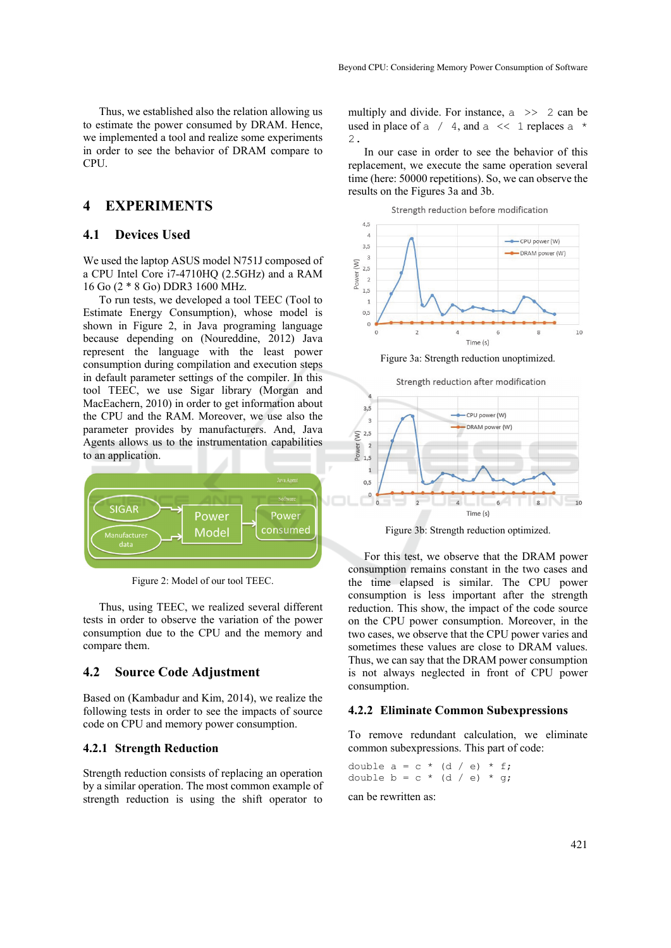Thus, we established also the relation allowing us to estimate the power consumed by DRAM. Hence, we implemented a tool and realize some experiments in order to see the behavior of DRAM compare to CPU.

## **4 EXPERIMENTS**

### **4.1 Devices Used**

We used the laptop ASUS model N751J composed of a CPU Intel Core i7-4710HQ (2.5GHz) and a RAM 16 Go (2 \* 8 Go) DDR3 1600 MHz.

To run tests, we developed a tool TEEC (Tool to Estimate Energy Consumption), whose model is shown in Figure 2, in Java programing language because depending on (Noureddine, 2012) Java represent the language with the least power consumption during compilation and execution steps in default parameter settings of the compiler. In this tool TEEC, we use Sigar library (Morgan and MacEachern, 2010) in order to get information about the CPU and the RAM. Moreover, we use also the parameter provides by manufacturers. And, Java Agents allows us to the instrumentation capabilities to an application.



Figure 2: Model of our tool TEEC.

Thus, using TEEC, we realized several different tests in order to observe the variation of the power consumption due to the CPU and the memory and compare them.

## **4.2 Source Code Adjustment**

Based on (Kambadur and Kim, 2014), we realize the following tests in order to see the impacts of source code on CPU and memory power consumption.

#### **4.2.1 Strength Reduction**

Strength reduction consists of replacing an operation by a similar operation. The most common example of strength reduction is using the shift operator to

multiply and divide. For instance,  $a \gg 2$  can be used in place of a  $/$  4, and a  $\lt\lt 1$  replaces a  $\star$ 2.

In our case in order to see the behavior of this replacement, we execute the same operation several time (here: 50000 repetitions). So, we can observe the results on the Figures 3a and 3b.





Figure 3a: Strength reduction unoptimized.



Figure 3b: Strength reduction optimized.

For this test, we observe that the DRAM power consumption remains constant in the two cases and the time elapsed is similar. The CPU power consumption is less important after the strength reduction. This show, the impact of the code source on the CPU power consumption. Moreover, in the two cases, we observe that the CPU power varies and sometimes these values are close to DRAM values. Thus, we can say that the DRAM power consumption is not always neglected in front of CPU power consumption.

#### **4.2.2 Eliminate Common Subexpressions**

To remove redundant calculation, we eliminate common subexpressions. This part of code:

double  $a = c * (d / e) * f;$ double  $b = c * (d / e) * g;$ 

can be rewritten as: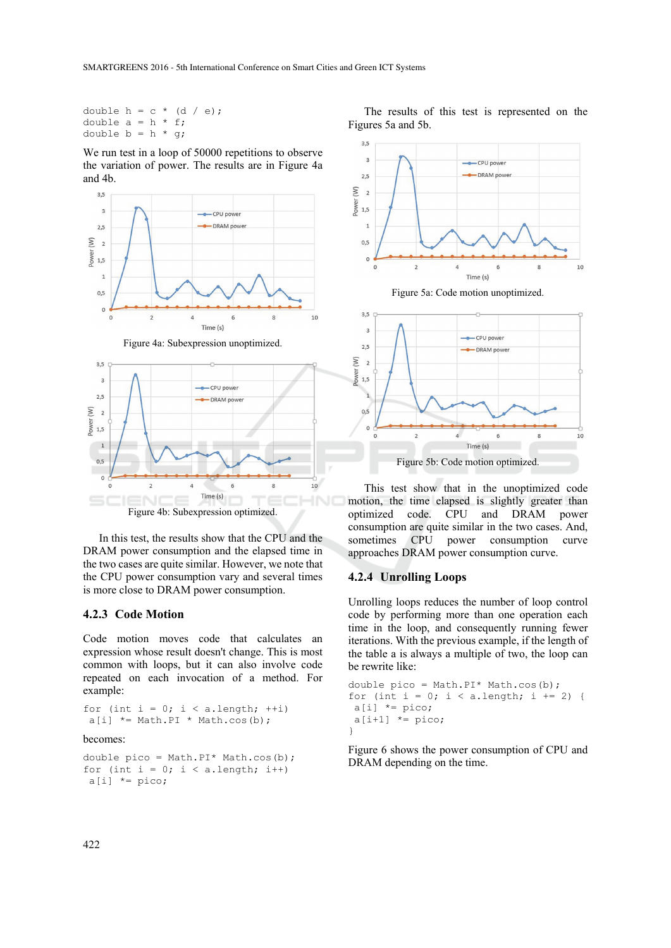double  $h = c * (d / e)$ ; double  $a = h * f$ ; double  $b = h * q;$ 

We run test in a loop of 50000 repetitions to observe the variation of power. The results are in Figure 4a and 4b.





In this test, the results show that the CPU and the DRAM power consumption and the elapsed time in the two cases are quite similar. However, we note that the CPU power consumption vary and several times is more close to DRAM power consumption.

### **4.2.3 Code Motion**

Code motion moves code that calculates an expression whose result doesn't change. This is most common with loops, but it can also involve code repeated on each invocation of a method. For example:

for (int  $i = 0$ ;  $i < a.length$ ; ++i)  $a[i]$  \*= Math.PI \* Math.cos(b);

#### becomes:

```
double pico = Math.PI* Math.cos(b);
for (int i = 0; i < a.length; i++)a[i] *= pico;
```








This test show that in the unoptimized code motion, the time elapsed is slightly greater than optimized code. CPU and DRAM power consumption are quite similar in the two cases. And, sometimes CPU power consumption curve approaches DRAM power consumption curve.

#### **4.2.4 Unrolling Loops**

Unrolling loops reduces the number of loop control code by performing more than one operation each time in the loop, and consequently running fewer iterations. With the previous example, if the length of the table a is always a multiple of two, the loop can be rewrite like:

```
double pico = Math.PI* Math.cos(b);
for (int i = 0; i < a.length; i += 2) {
a[i] *= pico;
a[i+1] *= pico;
}
```
Figure 6 shows the power consumption of CPU and DRAM depending on the time.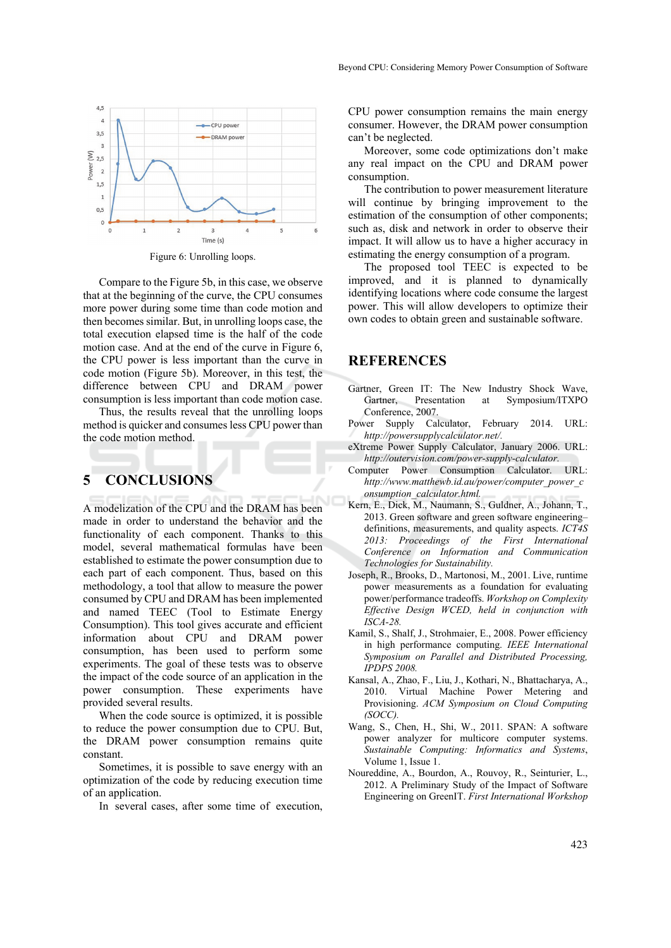

 $\overline{c}$  $\overline{3}$ Time (s) Figure 6: Unrolling loops.

Compare to the Figure 5b, in this case, we observe that at the beginning of the curve, the CPU consumes more power during some time than code motion and then becomes similar. But, in unrolling loops case, the total execution elapsed time is the half of the code motion case. And at the end of the curve in Figure 6, the CPU power is less important than the curve in code motion (Figure 5b). Moreover, in this test, the difference between CPU and DRAM power consumption is less important than code motion case.

Thus, the results reveal that the unrolling loops method is quicker and consumes less CPU power than the code motion method.

# **5 CONCLUSIONS**

 $4,5$  $\overline{a}$ 

 $3,5$ 

 $\overline{3}$  $\left(\mathbb{W}\right)$  $2,5$ Power  $\overline{2}$  $1,5$  $\overline{1}$  $0.5$  $\Omega$ 

A modelization of the CPU and the DRAM has been made in order to understand the behavior and the functionality of each component. Thanks to this model, several mathematical formulas have been established to estimate the power consumption due to each part of each component. Thus, based on this methodology, a tool that allow to measure the power consumed by CPU and DRAM has been implemented and named TEEC (Tool to Estimate Energy Consumption). This tool gives accurate and efficient information about CPU and DRAM power consumption, has been used to perform some experiments. The goal of these tests was to observe the impact of the code source of an application in the power consumption. These experiments have provided several results.

When the code source is optimized, it is possible to reduce the power consumption due to CPU. But, the DRAM power consumption remains quite constant.

Sometimes, it is possible to save energy with an optimization of the code by reducing execution time of an application.

In several cases, after some time of execution,

CPU power consumption remains the main energy consumer. However, the DRAM power consumption can't be neglected.

Moreover, some code optimizations don't make any real impact on the CPU and DRAM power consumption.

The contribution to power measurement literature will continue by bringing improvement to the estimation of the consumption of other components; such as, disk and network in order to observe their impact. It will allow us to have a higher accuracy in estimating the energy consumption of a program.

The proposed tool TEEC is expected to be improved, and it is planned to dynamically identifying locations where code consume the largest power. This will allow developers to optimize their own codes to obtain green and sustainable software.

## **REFERENCES**

- Gartner, Green IT: The New Industry Shock Wave, Gartner, Presentation at Symposium/ITXPO Conference, 2007.
- Power Supply Calculator, February 2014. URL: *http://powersupplycalculator.net/.*
- eXtreme Power Supply Calculator, January 2006. URL: *http://outervision.com/power-supply-calculator.*
- Computer Power Consumption Calculator. URL: *http://www.matthewb.id.au/power/computer\_power\_c onsumption\_calculator.html.*
- Kern, E., Dick, M., Naumann, S., Guldner, A., Johann, T., 2013. Green software and green software engineering– definitions, measurements, and quality aspects. *ICT4S 2013: Proceedings of the First International Conference on Information and Communication Technologies for Sustainability.*
- Joseph, R., Brooks, D., Martonosi, M., 2001. Live, runtime power measurements as a foundation for evaluating power/performance tradeoffs. *Workshop on Complexity Effective Design WCED, held in conjunction with ISCA-28.*
- Kamil, S., Shalf, J., Strohmaier, E., 2008. Power efficiency in high performance computing. *IEEE International Symposium on Parallel and Distributed Processing, IPDPS 2008.*
- Kansal, A., Zhao, F., Liu, J., Kothari, N., Bhattacharya, A., 2010. Virtual Machine Power Metering and Provisioning. *ACM Symposium on Cloud Computing (SOCC).*
- Wang, S., Chen, H., Shi, W., 2011. SPAN: A software power analyzer for multicore computer systems. *Sustainable Computing: Informatics and Systems*, Volume 1, Issue 1.
- Noureddine, A., Bourdon, A., Rouvoy, R., Seinturier, L., 2012. A Preliminary Study of the Impact of Software Engineering on GreenIT. *First International Workshop*